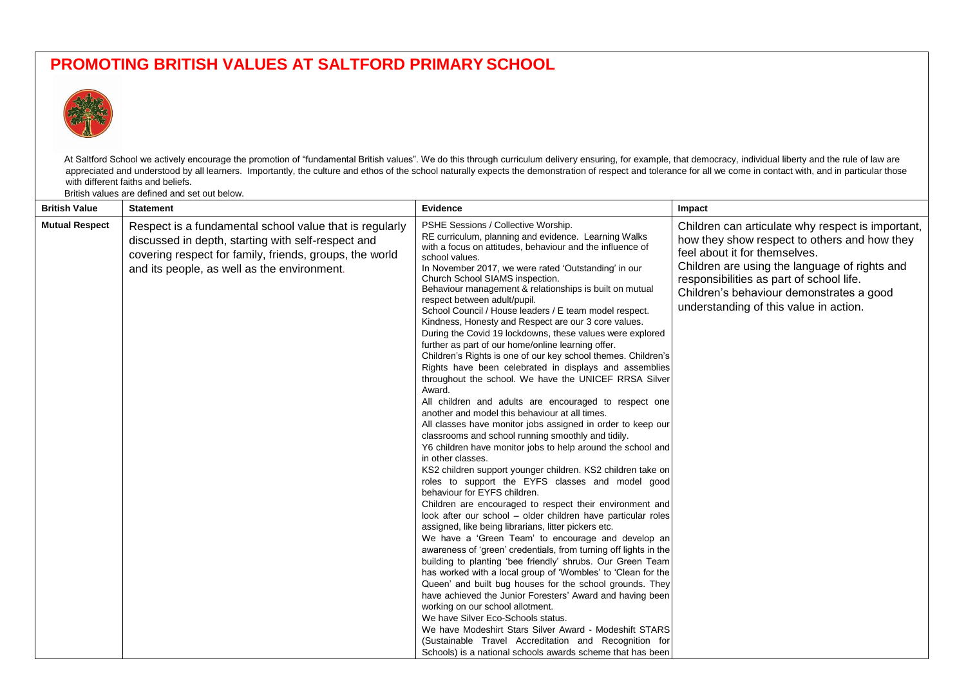## **PROMOTING BRITISH VALUES AT SALTFORD PRIMARY SCHOOL**



At Saltford School we actively encourage the promotion of "fundamental British values". We do this through curriculum delivery ensuring, for example, that democracy, individual liberty and the rule of law are appreciated and understood by all learners. Importantly, the culture and ethos of the school naturally expects the demonstration of respect and tolerance for all we come in contact with, and in particular those with different faiths and beliefs.

British values are defined and set out below.

| <b>British Value</b>  | <b>Statement</b>                                                                                                                                                                                                        | Evidence                                                                                                                                                                                                                                                                                                                                                                                                                                                                                                                                                                                                                                                                                                                                                                                                                                                                                                                                                                                                                                                                                                                                                                                                                                                                                                                                                                                                                                                                                                                                                                                                                                                                                                                                                                                                                                                                                                                                                                                                                                                                                                   | Impact                                                                                                                                                                                                                                                                                                                |
|-----------------------|-------------------------------------------------------------------------------------------------------------------------------------------------------------------------------------------------------------------------|------------------------------------------------------------------------------------------------------------------------------------------------------------------------------------------------------------------------------------------------------------------------------------------------------------------------------------------------------------------------------------------------------------------------------------------------------------------------------------------------------------------------------------------------------------------------------------------------------------------------------------------------------------------------------------------------------------------------------------------------------------------------------------------------------------------------------------------------------------------------------------------------------------------------------------------------------------------------------------------------------------------------------------------------------------------------------------------------------------------------------------------------------------------------------------------------------------------------------------------------------------------------------------------------------------------------------------------------------------------------------------------------------------------------------------------------------------------------------------------------------------------------------------------------------------------------------------------------------------------------------------------------------------------------------------------------------------------------------------------------------------------------------------------------------------------------------------------------------------------------------------------------------------------------------------------------------------------------------------------------------------------------------------------------------------------------------------------------------------|-----------------------------------------------------------------------------------------------------------------------------------------------------------------------------------------------------------------------------------------------------------------------------------------------------------------------|
| <b>Mutual Respect</b> | Respect is a fundamental school value that is regularly<br>discussed in depth, starting with self-respect and<br>covering respect for family, friends, groups, the world<br>and its people, as well as the environment. | PSHE Sessions / Collective Worship.<br>RE curriculum, planning and evidence. Learning Walks<br>with a focus on attitudes, behaviour and the influence of<br>school values.<br>In November 2017, we were rated 'Outstanding' in our<br>Church School SIAMS inspection.<br>Behaviour management & relationships is built on mutual<br>respect between adult/pupil.<br>School Council / House leaders / E team model respect.<br>Kindness, Honesty and Respect are our 3 core values.<br>During the Covid 19 lockdowns, these values were explored<br>further as part of our home/online learning offer.<br>Children's Rights is one of our key school themes. Children's<br>Rights have been celebrated in displays and assemblies<br>throughout the school. We have the UNICEF RRSA Silver<br>Award.<br>All children and adults are encouraged to respect one<br>another and model this behaviour at all times.<br>All classes have monitor jobs assigned in order to keep our<br>classrooms and school running smoothly and tidily.<br>Y6 children have monitor jobs to help around the school and<br>in other classes.<br>KS2 children support younger children. KS2 children take on<br>roles to support the EYFS classes and model good<br>behaviour for EYFS children.<br>Children are encouraged to respect their environment and<br>look after our school - older children have particular roles<br>assigned, like being librarians, litter pickers etc.<br>We have a 'Green Team' to encourage and develop an<br>awareness of 'green' credentials, from turning off lights in the<br>building to planting 'bee friendly' shrubs. Our Green Team<br>has worked with a local group of 'Wombles' to 'Clean for the<br>Queen' and built bug houses for the school grounds. They<br>have achieved the Junior Foresters' Award and having been<br>working on our school allotment.<br>We have Silver Eco-Schools status.<br>We have Modeshirt Stars Silver Award - Modeshift STARS<br>(Sustainable Travel Accreditation and Recognition for<br>Schools) is a national schools awards scheme that has been | Children can articulate why respect is important,<br>how they show respect to others and how they<br>feel about it for themselves.<br>Children are using the language of rights and<br>responsibilities as part of school life.<br>Children's behaviour demonstrates a good<br>understanding of this value in action. |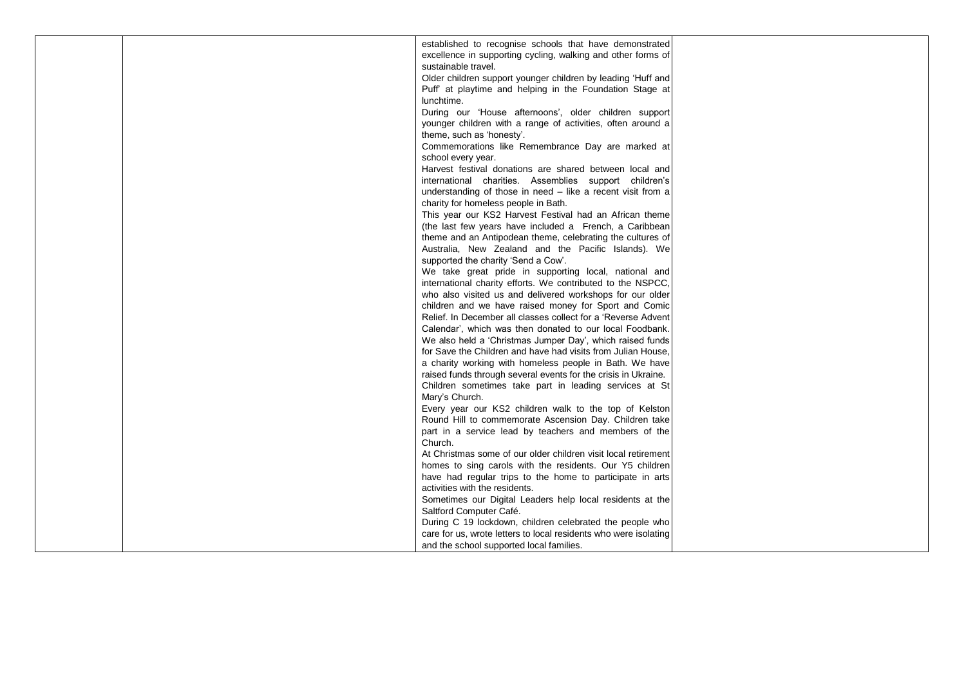|  | established to recognise schools that have demonstrated          |  |
|--|------------------------------------------------------------------|--|
|  | excellence in supporting cycling, walking and other forms of     |  |
|  | sustainable travel.                                              |  |
|  | Older children support younger children by leading 'Huff and     |  |
|  |                                                                  |  |
|  | Puff at playtime and helping in the Foundation Stage at          |  |
|  | lunchtime.                                                       |  |
|  | During our 'House afternoons', older children support            |  |
|  | younger children with a range of activities, often around a      |  |
|  | theme, such as 'honesty'.                                        |  |
|  | Commemorations like Remembrance Day are marked at                |  |
|  |                                                                  |  |
|  | school every year.                                               |  |
|  | Harvest festival donations are shared between local and          |  |
|  | international charities. Assemblies support children's           |  |
|  | understanding of those in need - like a recent visit from a      |  |
|  | charity for homeless people in Bath.                             |  |
|  | This year our KS2 Harvest Festival had an African theme          |  |
|  | (the last few years have included a French, a Caribbean)         |  |
|  | theme and an Antipodean theme, celebrating the cultures of       |  |
|  | Australia, New Zealand and the Pacific Islands). We              |  |
|  |                                                                  |  |
|  | supported the charity 'Send a Cow'.                              |  |
|  | We take great pride in supporting local, national and            |  |
|  | international charity efforts. We contributed to the NSPCC,      |  |
|  | who also visited us and delivered workshops for our older        |  |
|  | children and we have raised money for Sport and Comic            |  |
|  | Relief. In December all classes collect for a 'Reverse Advent    |  |
|  | Calendar', which was then donated to our local Foodbank.         |  |
|  | We also held a 'Christmas Jumper Day', which raised funds        |  |
|  |                                                                  |  |
|  | for Save the Children and have had visits from Julian House,     |  |
|  | a charity working with homeless people in Bath. We have          |  |
|  | raised funds through several events for the crisis in Ukraine.   |  |
|  | Children sometimes take part in leading services at St           |  |
|  | Mary's Church.                                                   |  |
|  | Every year our KS2 children walk to the top of Kelston           |  |
|  | Round Hill to commemorate Ascension Day. Children take           |  |
|  | part in a service lead by teachers and members of the            |  |
|  | Church.                                                          |  |
|  |                                                                  |  |
|  | At Christmas some of our older children visit local retirement   |  |
|  | homes to sing carols with the residents. Our Y5 children         |  |
|  | have had regular trips to the home to participate in arts        |  |
|  | activities with the residents.                                   |  |
|  | Sometimes our Digital Leaders help local residents at the        |  |
|  | Saltford Computer Café.                                          |  |
|  | During C 19 lockdown, children celebrated the people who         |  |
|  | care for us, wrote letters to local residents who were isolating |  |
|  |                                                                  |  |
|  | and the school supported local families.                         |  |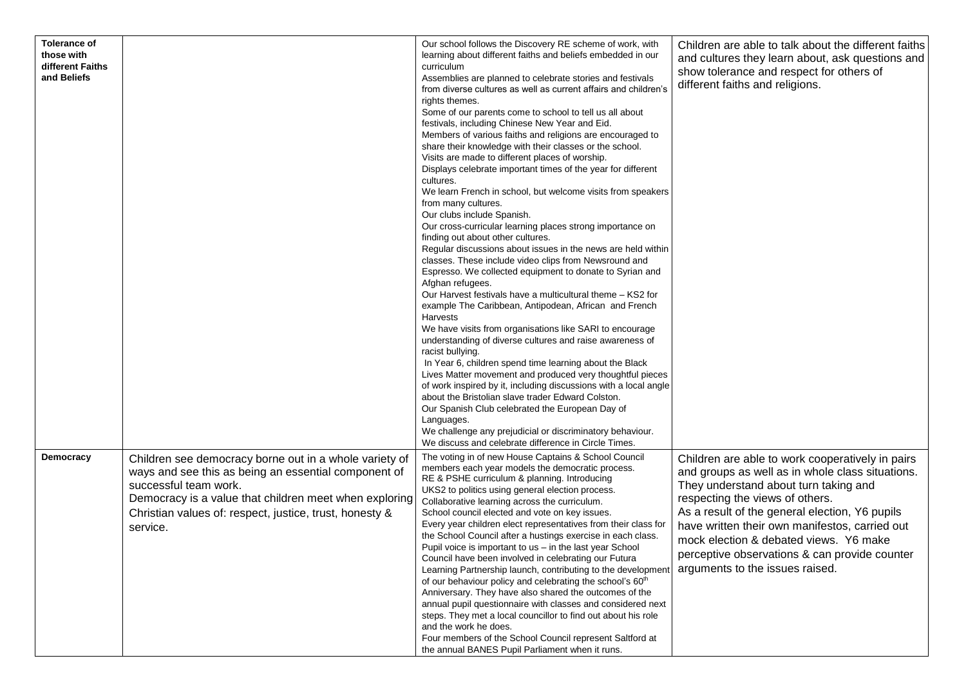| <b>Tolerance of</b><br>those with<br>different Faiths<br>and Beliefs |                                                                                                                                                                                                                                                                          | Our school follows the Discovery RE scheme of work, with<br>learning about different faiths and beliefs embedded in our<br>curriculum<br>Assemblies are planned to celebrate stories and festivals<br>from diverse cultures as well as current affairs and children's<br>rights themes.<br>Some of our parents come to school to tell us all about<br>festivals, including Chinese New Year and Eid.<br>Members of various faiths and religions are encouraged to<br>share their knowledge with their classes or the school.<br>Visits are made to different places of worship.<br>Displays celebrate important times of the year for different<br>cultures.<br>We learn French in school, but welcome visits from speakers<br>from many cultures.<br>Our clubs include Spanish.<br>Our cross-curricular learning places strong importance on<br>finding out about other cultures.<br>Regular discussions about issues in the news are held within<br>classes. These include video clips from Newsround and<br>Espresso. We collected equipment to donate to Syrian and<br>Afghan refugees.<br>Our Harvest festivals have a multicultural theme - KS2 for<br>example The Caribbean, Antipodean, African and French<br>Harvests<br>We have visits from organisations like SARI to encourage<br>understanding of diverse cultures and raise awareness of<br>racist bullying.<br>In Year 6, children spend time learning about the Black<br>Lives Matter movement and produced very thoughtful pieces<br>of work inspired by it, including discussions with a local angle<br>about the Bristolian slave trader Edward Colston.<br>Our Spanish Club celebrated the European Day of<br>Languages. | Children are able to talk about the different faiths<br>and cultures they learn about, ask questions and<br>show tolerance and respect for others of<br>different faiths and religions.                                                                                                                                                                                                                            |
|----------------------------------------------------------------------|--------------------------------------------------------------------------------------------------------------------------------------------------------------------------------------------------------------------------------------------------------------------------|----------------------------------------------------------------------------------------------------------------------------------------------------------------------------------------------------------------------------------------------------------------------------------------------------------------------------------------------------------------------------------------------------------------------------------------------------------------------------------------------------------------------------------------------------------------------------------------------------------------------------------------------------------------------------------------------------------------------------------------------------------------------------------------------------------------------------------------------------------------------------------------------------------------------------------------------------------------------------------------------------------------------------------------------------------------------------------------------------------------------------------------------------------------------------------------------------------------------------------------------------------------------------------------------------------------------------------------------------------------------------------------------------------------------------------------------------------------------------------------------------------------------------------------------------------------------------------------------------------------------------------------------------------------------------------------------|--------------------------------------------------------------------------------------------------------------------------------------------------------------------------------------------------------------------------------------------------------------------------------------------------------------------------------------------------------------------------------------------------------------------|
|                                                                      |                                                                                                                                                                                                                                                                          | We challenge any prejudicial or discriminatory behaviour.                                                                                                                                                                                                                                                                                                                                                                                                                                                                                                                                                                                                                                                                                                                                                                                                                                                                                                                                                                                                                                                                                                                                                                                                                                                                                                                                                                                                                                                                                                                                                                                                                                    |                                                                                                                                                                                                                                                                                                                                                                                                                    |
| <b>Democracy</b>                                                     | Children see democracy borne out in a whole variety of<br>ways and see this as being an essential component of<br>successful team work.<br>Democracy is a value that children meet when exploring<br>Christian values of: respect, justice, trust, honesty &<br>service. | We discuss and celebrate difference in Circle Times.<br>The voting in of new House Captains & School Council<br>members each year models the democratic process.<br>RE & PSHE curriculum & planning. Introducing<br>UKS2 to politics using general election process.<br>Collaborative learning across the curriculum.<br>School council elected and vote on key issues.<br>Every year children elect representatives from their class for<br>the School Council after a hustings exercise in each class.<br>Pupil voice is important to us – in the last year School<br>Council have been involved in celebrating our Futura<br>Learning Partnership launch, contributing to the development<br>of our behaviour policy and celebrating the school's 60 <sup>th</sup><br>Anniversary. They have also shared the outcomes of the<br>annual pupil questionnaire with classes and considered next<br>steps. They met a local councillor to find out about his role<br>and the work he does.<br>Four members of the School Council represent Saltford at<br>the annual BANES Pupil Parliament when it runs.                                                                                                                                                                                                                                                                                                                                                                                                                                                                                                                                                                                      | Children are able to work cooperatively in pairs<br>and groups as well as in whole class situations.<br>They understand about turn taking and<br>respecting the views of others.<br>As a result of the general election, Y6 pupils<br>have written their own manifestos, carried out<br>mock election & debated views. Y6 make<br>perceptive observations & can provide counter<br>arguments to the issues raised. |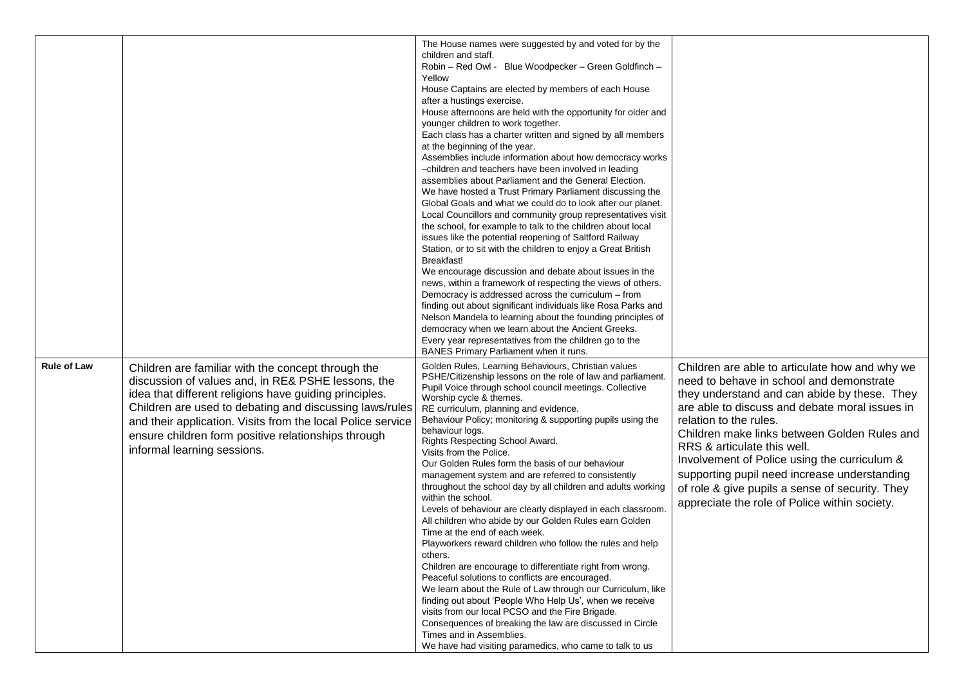|                    |                                                                                                                                                                                                                                                                                                                                                                                    | The House names were suggested by and voted for by the<br>children and staff.<br>Robin - Red Owl - Blue Woodpecker - Green Goldfinch -<br>Yellow<br>House Captains are elected by members of each House<br>after a hustings exercise.<br>House afternoons are held with the opportunity for older and<br>younger children to work together.<br>Each class has a charter written and signed by all members<br>at the beginning of the year.<br>Assemblies include information about how democracy works<br>-children and teachers have been involved in leading<br>assemblies about Parliament and the General Election.<br>We have hosted a Trust Primary Parliament discussing the<br>Global Goals and what we could do to look after our planet.<br>Local Councillors and community group representatives visit<br>the school, for example to talk to the children about local<br>issues like the potential reopening of Saltford Railway<br>Station, or to sit with the children to enjoy a Great British<br>Breakfast!<br>We encourage discussion and debate about issues in the<br>news, within a framework of respecting the views of others.<br>Democracy is addressed across the curriculum - from<br>finding out about significant individuals like Rosa Parks and<br>Nelson Mandela to learning about the founding principles of<br>democracy when we learn about the Ancient Greeks.<br>Every year representatives from the children go to the<br>BANES Primary Parliament when it runs. |                                                                                                                                                                                                                                                                                                                                                                                                                                                                                                           |
|--------------------|------------------------------------------------------------------------------------------------------------------------------------------------------------------------------------------------------------------------------------------------------------------------------------------------------------------------------------------------------------------------------------|-----------------------------------------------------------------------------------------------------------------------------------------------------------------------------------------------------------------------------------------------------------------------------------------------------------------------------------------------------------------------------------------------------------------------------------------------------------------------------------------------------------------------------------------------------------------------------------------------------------------------------------------------------------------------------------------------------------------------------------------------------------------------------------------------------------------------------------------------------------------------------------------------------------------------------------------------------------------------------------------------------------------------------------------------------------------------------------------------------------------------------------------------------------------------------------------------------------------------------------------------------------------------------------------------------------------------------------------------------------------------------------------------------------------------------------------------------------------------------------------------------|-----------------------------------------------------------------------------------------------------------------------------------------------------------------------------------------------------------------------------------------------------------------------------------------------------------------------------------------------------------------------------------------------------------------------------------------------------------------------------------------------------------|
| <b>Rule of Law</b> | Children are familiar with the concept through the<br>discussion of values and, in RE& PSHE lessons, the<br>idea that different religions have guiding principles.<br>Children are used to debating and discussing laws/rules<br>and their application. Visits from the local Police service<br>ensure children form positive relationships through<br>informal learning sessions. | Golden Rules, Learning Behaviours, Christian values<br>PSHE/Citizenship lessons on the role of law and parliament.<br>Pupil Voice through school council meetings. Collective<br>Worship cycle & themes.<br>RE curriculum, planning and evidence.<br>Behaviour Policy; monitoring & supporting pupils using the<br>behaviour logs.<br>Rights Respecting School Award.<br>Visits from the Police.<br>Our Golden Rules form the basis of our behaviour<br>management system and are referred to consistently<br>throughout the school day by all children and adults working<br>within the school.<br>Levels of behaviour are clearly displayed in each classroom.<br>All children who abide by our Golden Rules earn Golden<br>Time at the end of each week.<br>Playworkers reward children who follow the rules and help<br>others.<br>Children are encourage to differentiate right from wrong.<br>Peaceful solutions to conflicts are encouraged.<br>We learn about the Rule of Law through our Curriculum, like<br>finding out about 'People Who Help Us', when we receive<br>visits from our local PCSO and the Fire Brigade.<br>Consequences of breaking the law are discussed in Circle<br>Times and in Assemblies.<br>We have had visiting paramedics, who came to talk to us                                                                                                                                                                                                                | Children are able to articulate how and why we<br>need to behave in school and demonstrate<br>they understand and can abide by these. They<br>are able to discuss and debate moral issues in<br>relation to the rules.<br>Children make links between Golden Rules and<br>RRS & articulate this well.<br>Involvement of Police using the curriculum &<br>supporting pupil need increase understanding<br>of role & give pupils a sense of security. They<br>appreciate the role of Police within society. |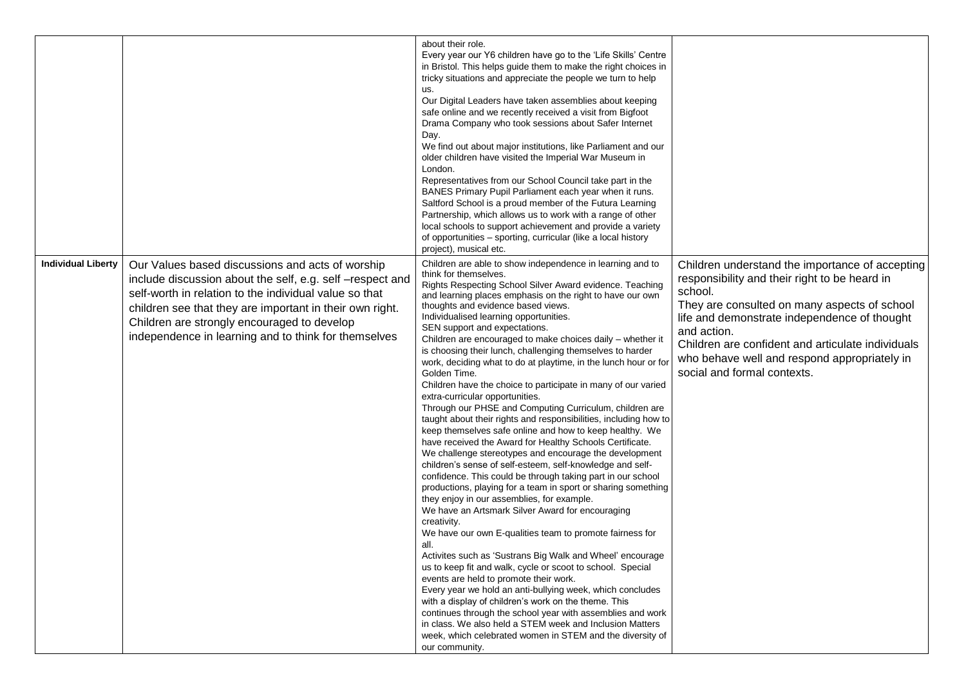|                           |                                                                                                                                                                                                                                                                                                                                            | about their role.<br>Every year our Y6 children have go to the 'Life Skills' Centre<br>in Bristol. This helps guide them to make the right choices in<br>tricky situations and appreciate the people we turn to help<br>us.<br>Our Digital Leaders have taken assemblies about keeping<br>safe online and we recently received a visit from Bigfoot<br>Drama Company who took sessions about Safer Internet<br>Day.<br>We find out about major institutions, like Parliament and our<br>older children have visited the Imperial War Museum in<br>London.<br>Representatives from our School Council take part in the<br>BANES Primary Pupil Parliament each year when it runs.<br>Saltford School is a proud member of the Futura Learning<br>Partnership, which allows us to work with a range of other<br>local schools to support achievement and provide a variety<br>of opportunities - sporting, curricular (like a local history<br>project), musical etc.                                                                                                                                                                                                                                                                                                                                                                                                                                                                                                                                                                                                                                                                                                                                                                                                                                                                                  |                                                                                                                                                                                                                                                                                                                                                                |
|---------------------------|--------------------------------------------------------------------------------------------------------------------------------------------------------------------------------------------------------------------------------------------------------------------------------------------------------------------------------------------|-----------------------------------------------------------------------------------------------------------------------------------------------------------------------------------------------------------------------------------------------------------------------------------------------------------------------------------------------------------------------------------------------------------------------------------------------------------------------------------------------------------------------------------------------------------------------------------------------------------------------------------------------------------------------------------------------------------------------------------------------------------------------------------------------------------------------------------------------------------------------------------------------------------------------------------------------------------------------------------------------------------------------------------------------------------------------------------------------------------------------------------------------------------------------------------------------------------------------------------------------------------------------------------------------------------------------------------------------------------------------------------------------------------------------------------------------------------------------------------------------------------------------------------------------------------------------------------------------------------------------------------------------------------------------------------------------------------------------------------------------------------------------------------------------------------------------------------------------------|----------------------------------------------------------------------------------------------------------------------------------------------------------------------------------------------------------------------------------------------------------------------------------------------------------------------------------------------------------------|
| <b>Individual Liberty</b> | Our Values based discussions and acts of worship<br>include discussion about the self, e.g. self -respect and<br>self-worth in relation to the individual value so that<br>children see that they are important in their own right.<br>Children are strongly encouraged to develop<br>independence in learning and to think for themselves | Children are able to show independence in learning and to<br>think for themselves.<br>Rights Respecting School Silver Award evidence. Teaching<br>and learning places emphasis on the right to have our own<br>thoughts and evidence based views.<br>Individualised learning opportunities.<br>SEN support and expectations.<br>Children are encouraged to make choices daily - whether it<br>is choosing their lunch, challenging themselves to harder<br>work, deciding what to do at playtime, in the lunch hour or for<br>Golden Time.<br>Children have the choice to participate in many of our varied<br>extra-curricular opportunities.<br>Through our PHSE and Computing Curriculum, children are<br>taught about their rights and responsibilities, including how to<br>keep themselves safe online and how to keep healthy. We<br>have received the Award for Healthy Schools Certificate.<br>We challenge stereotypes and encourage the development<br>children's sense of self-esteem, self-knowledge and self-<br>confidence. This could be through taking part in our school<br>productions, playing for a team in sport or sharing something<br>they enjoy in our assemblies, for example.<br>We have an Artsmark Silver Award for encouraging<br>creativity.<br>We have our own E-qualities team to promote fairness for<br>all.<br>Activites such as 'Sustrans Big Walk and Wheel' encourage<br>us to keep fit and walk, cycle or scoot to school. Special<br>events are held to promote their work.<br>Every year we hold an anti-bullying week, which concludes<br>with a display of children's work on the theme. This<br>continues through the school year with assemblies and work<br>in class. We also held a STEM week and Inclusion Matters<br>week, which celebrated women in STEM and the diversity of<br>our community. | Children understand the importance of accepting<br>responsibility and their right to be heard in<br>school.<br>They are consulted on many aspects of school<br>life and demonstrate independence of thought<br>and action.<br>Children are confident and articulate individuals<br>who behave well and respond appropriately in<br>social and formal contexts. |